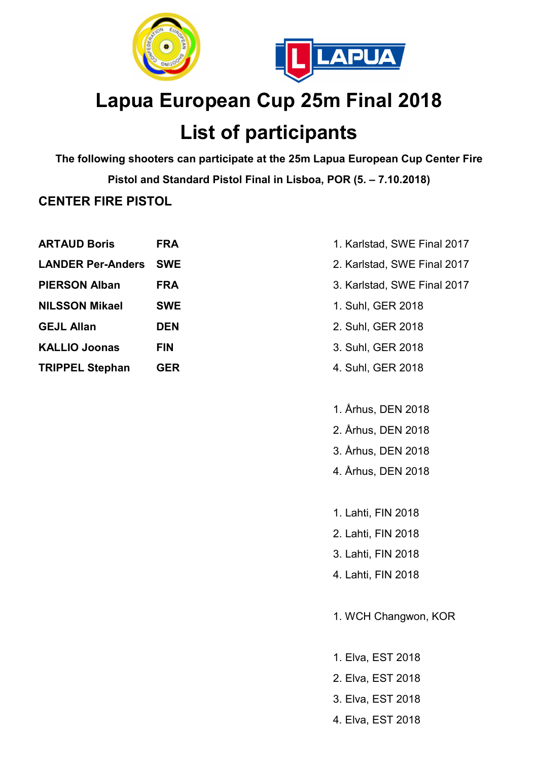



# Lapua European Cup 25m Final 2018

## List of participants

The following shooters can participate at the 25m Lapua European Cup Center Fire Pistol and Standard Pistol Final in Lisboa, POR (5. – 7.10.2018) CENTER FIRE PISTOL

| <b>ARTAUD Boris</b>      | FRA        |
|--------------------------|------------|
| <b>LANDER Per-Anders</b> | <b>SWE</b> |
| <b>PIERSON Alban</b>     | <b>FRA</b> |
| <b>NILSSON Mikael</b>    | <b>SWE</b> |
| <b>GEJL Allan</b>        | <b>DEN</b> |
| <b>KALLIO Joonas</b>     | <b>FIN</b> |
| <b>TRIPPEL Stephan</b>   | <b>GER</b> |
|                          |            |

- 1. Karlstad, SWE Final 2017
- 2. Karlstad, SWE Final 2017
- 3. Karlstad, SWE Final 2017
- 1. Suhl, GER 2018
- 2. Suhl, GER 2018
- 3. Suhl, GER 2018
- 4. Suhl, GER 2018
- 1. Århus, DEN 2018
- 2. Århus, DEN 2018
- 3. Århus, DEN 2018
- 4. Århus, DEN 2018
- 1. Lahti, FIN 2018
- 2. Lahti, FIN 2018
- 3. Lahti, FIN 2018
- 4. Lahti, FIN 2018
- 1. WCH Changwon, KOR
- 1. Elva, EST 2018 2. Elva, EST 2018
- 3. Elva, EST 2018
- 4. Elva, EST 2018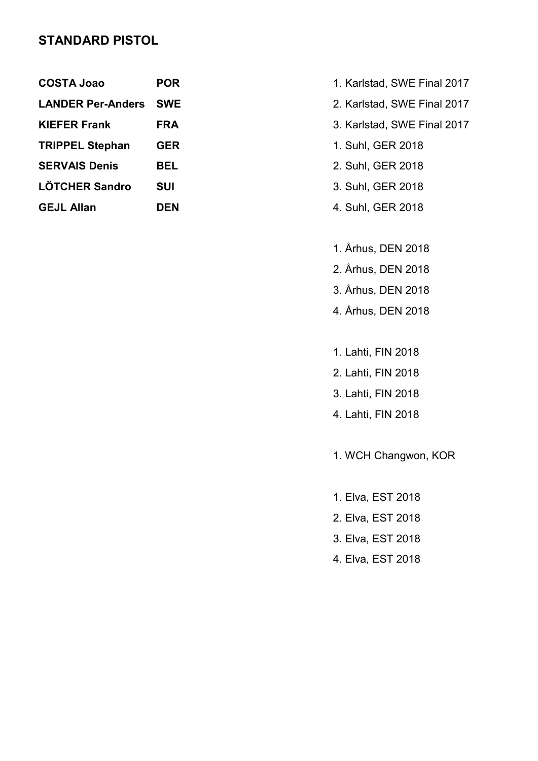#### STANDARD PISTOL

| <b>COSTA Joao</b>            | <b>POR</b> |
|------------------------------|------------|
| <b>LANDER Per-Anders SWE</b> |            |
| <b>KIEFER Frank</b>          | <b>FRA</b> |
| <b>TRIPPEL Stephan</b>       | <b>GER</b> |
| <b>SERVAIS Denis</b>         | BEL        |
| <b>LÖTCHER Sandro</b>        | <b>SUI</b> |
| <b>GEJL Allan</b>            | <b>DEN</b> |

- **COSTA 1. Karlstad, SWE Final 2017**
- LANDER PERCEPTION CONTROLLER SWE Final 2017
- A 3. Karlstad, SWE Final 2017
- **TRIPPEL Stephan GER 2018** 
	- 2. Suhl, GER 2018
	- 3. Suhl, GER 2018
- **Allan Den 2018 Allan Den 2018 Allan Den 2018** 
	- 1. Århus, DEN 2018
	- 2. Århus, DEN 2018
	- 3. Århus, DEN 2018
	- 4. Århus, DEN 2018
	- 1. Lahti, FIN 2018
	- 2. Lahti, FIN 2018
	- 3. Lahti, FIN 2018
	- 4. Lahti, FIN 2018
	- 1. WCH Changwon, KOR
	- 1. Elva, EST 2018
	- 2. Elva, EST 2018
	- 3. Elva, EST 2018
	- 4. Elva, EST 2018